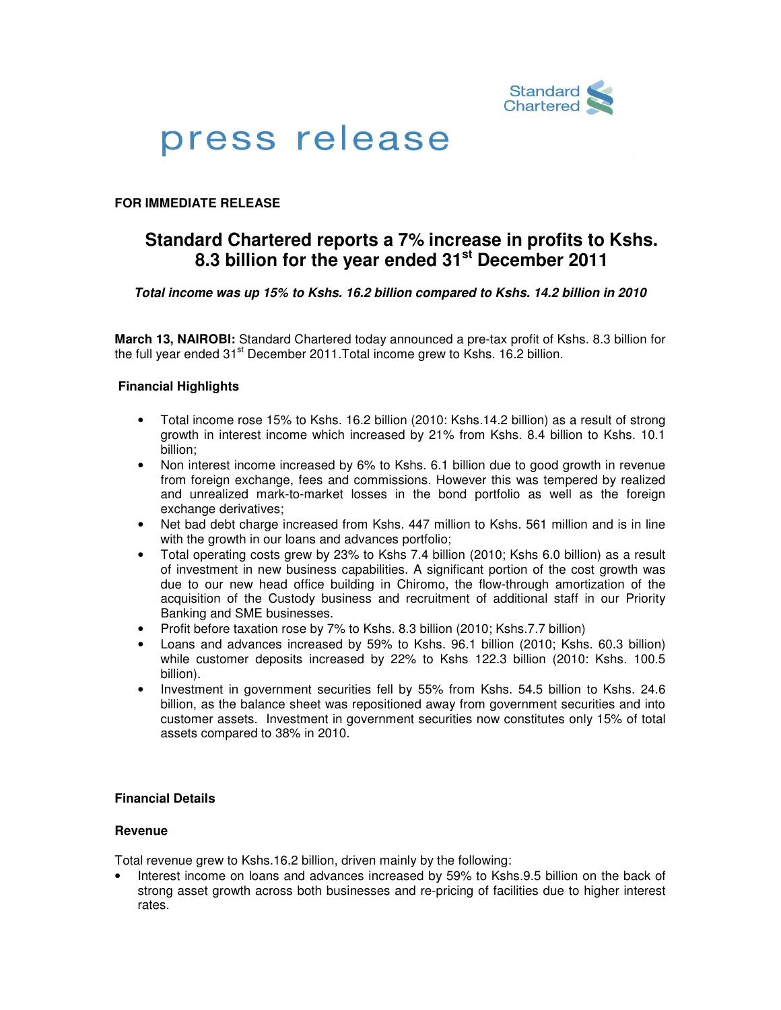

# press release

# **FOR IMMEDIATE RELEASE**

# **Standard Chartered reports a 7% increase in profits to Kshs. 8.3 billion for the year ended 31st December 2011**

# **Total income was up 15% to Kshs. 16.2 billion compared to Kshs. 14.2 billion in 2010**

**March 13, NAIROBI:** Standard Chartered today announced a pre-tax profit of Kshs. 8.3 billion for the full year ended  $31<sup>st</sup>$  December 2011. Total income grew to Kshs. 16.2 billion.

# **Financial Highlights**

- Total income rose 15% to Kshs. 16.2 billion (2010: Kshs.14.2 billion) as a result of strong growth in interest income which increased by 21% from Kshs. 8.4 billion to Kshs. 10.1 billion;
- Non interest income increased by 6% to Kshs. 6.1 billion due to good growth in revenue from foreign exchange, fees and commissions. However this was tempered by realized and unrealized mark-to-market losses in the bond portfolio as well as the foreign exchange derivatives;
- Net bad debt charge increased from Kshs. 447 million to Kshs. 561 million and is in line with the growth in our loans and advances portfolio;
- Total operating costs grew by 23% to Kshs 7.4 billion (2010; Kshs 6.0 billion) as a result of investment in new business capabilities. A significant portion of the cost growth was due to our new head office building in Chiromo, the flow-through amortization of the acquisition of the Custody business and recruitment of additional staff in our Priority Banking and SME businesses.
- Profit before taxation rose by 7% to Kshs. 8.3 billion (2010; Kshs.7.7 billion)
- Loans and advances increased by 59% to Kshs. 96.1 billion (2010; Kshs. 60.3 billion) while customer deposits increased by 22% to Kshs 122.3 billion (2010: Kshs. 100.5 billion).
- Investment in government securities fell by 55% from Kshs. 54.5 billion to Kshs. 24.6 billion, as the balance sheet was repositioned away from government securities and into customer assets. Investment in government securities now constitutes only 15% of total assets compared to 38% in 2010.

# **Financial Details**

# **Revenue**

Total revenue grew to Kshs.16.2 billion, driven mainly by the following:

• Interest income on loans and advances increased by 59% to Kshs.9.5 billion on the back of strong asset growth across both businesses and re-pricing of facilities due to higher interest rates.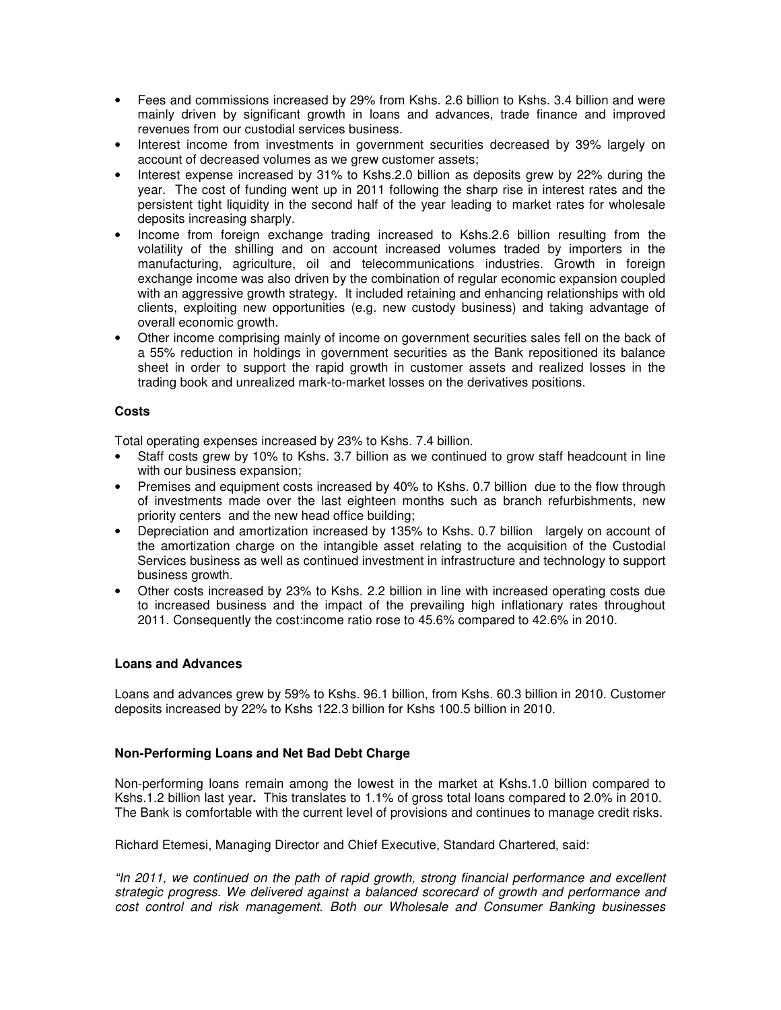- Fees and commissions increased by 29% from Kshs. 2.6 billion to Kshs. 3.4 billion and were mainly driven by significant growth in loans and advances, trade finance and improved revenues from our custodial services business.
- Interest income from investments in government securities decreased by 39% largely on account of decreased volumes as we grew customer assets;
- Interest expense increased by 31% to Kshs.2.0 billion as deposits grew by 22% during the year. The cost of funding went up in 2011 following the sharp rise in interest rates and the persistent tight liquidity in the second half of the year leading to market rates for wholesale deposits increasing sharply.
- Income from foreign exchange trading increased to Kshs.2.6 billion resulting from the volatility of the shilling and on account increased volumes traded by importers in the manufacturing, agriculture, oil and telecommunications industries. Growth in foreign exchange income was also driven by the combination of regular economic expansion coupled with an aggressive growth strategy. It included retaining and enhancing relationships with old clients, exploiting new opportunities (e.g. new custody business) and taking advantage of overall economic growth.
- Other income comprising mainly of income on government securities sales fell on the back of a 55% reduction in holdings in government securities as the Bank repositioned its balance sheet in order to support the rapid growth in customer assets and realized losses in the trading book and unrealized mark-to-market losses on the derivatives positions.

# **Costs**

Total operating expenses increased by 23% to Kshs. 7.4 billion.

- Staff costs grew by 10% to Kshs. 3.7 billion as we continued to grow staff headcount in line with our business expansion;
- Premises and equipment costs increased by 40% to Kshs. 0.7 billion due to the flow through of investments made over the last eighteen months such as branch refurbishments, new priority centers and the new head office building;
- Depreciation and amortization increased by 135% to Kshs. 0.7 billion largely on account of the amortization charge on the intangible asset relating to the acquisition of the Custodial Services business as well as continued investment in infrastructure and technology to support business growth.
- Other costs increased by 23% to Kshs. 2.2 billion in line with increased operating costs due to increased business and the impact of the prevailing high inflationary rates throughout 2011. Consequently the cost:income ratio rose to 45.6% compared to 42.6% in 2010.

# **Loans and Advances**

Loans and advances grew by 59% to Kshs. 96.1 billion, from Kshs. 60.3 billion in 2010. Customer deposits increased by 22% to Kshs 122.3 billion for Kshs 100.5 billion in 2010.

# **Non-Performing Loans and Net Bad Debt Charge**

Non-performing loans remain among the lowest in the market at Kshs.1.0 billion compared to Kshs.1.2 billion last year**.** This translates to 1.1% of gross total loans compared to 2.0% in 2010. The Bank is comfortable with the current level of provisions and continues to manage credit risks.

Richard Etemesi, Managing Director and Chief Executive, Standard Chartered, said:

"In 2011, we continued on the path of rapid growth, strong financial performance and excellent strategic progress. We delivered against a balanced scorecard of growth and performance and cost control and risk management. Both our Wholesale and Consumer Banking businesses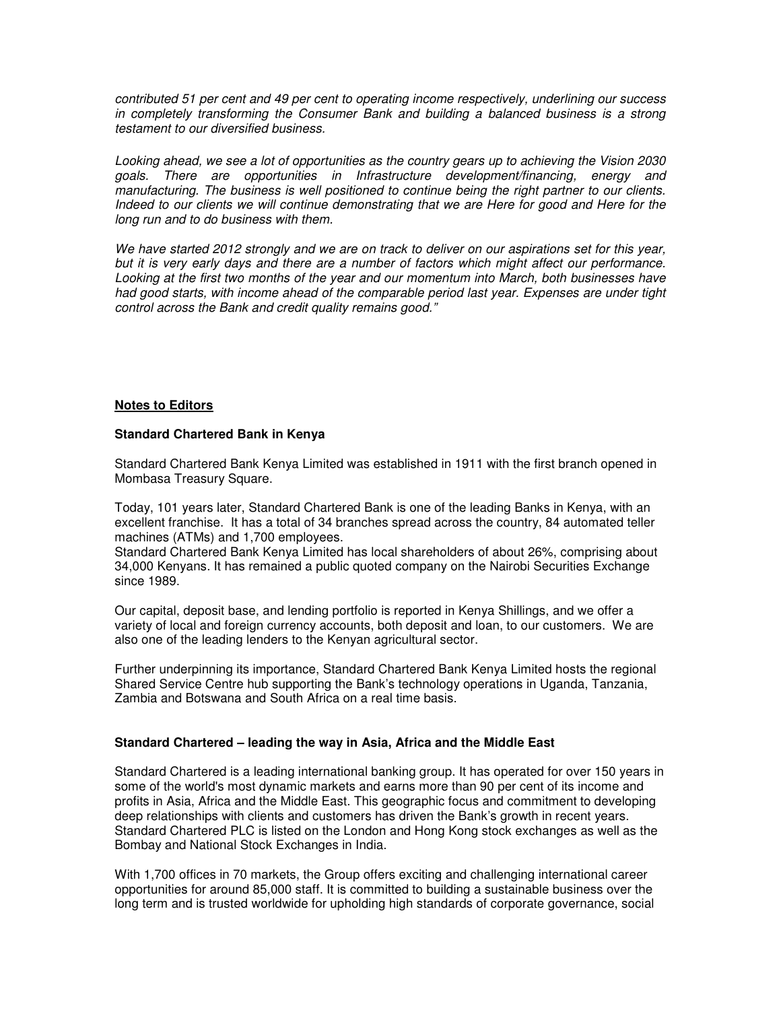contributed 51 per cent and 49 per cent to operating income respectively, underlining our success in completely transforming the Consumer Bank and building a balanced business is a strong testament to our diversified business.

Looking ahead, we see a lot of opportunities as the country gears up to achieving the Vision 2030 goals. There are opportunities in Infrastructure development/financing, energy and manufacturing. The business is well positioned to continue being the right partner to our clients. Indeed to our clients we will continue demonstrating that we are Here for good and Here for the long run and to do business with them.

We have started 2012 strongly and we are on track to deliver on our aspirations set for this vear. but it is very early days and there are a number of factors which might affect our performance. Looking at the first two months of the year and our momentum into March, both businesses have had good starts, with income ahead of the comparable period last year. Expenses are under tight control across the Bank and credit quality remains good."

# **Notes to Editors**

# **Standard Chartered Bank in Kenya**

Standard Chartered Bank Kenya Limited was established in 1911 with the first branch opened in Mombasa Treasury Square.

Today, 101 years later, Standard Chartered Bank is one of the leading Banks in Kenya, with an excellent franchise. It has a total of 34 branches spread across the country, 84 automated teller machines (ATMs) and 1,700 employees.

Standard Chartered Bank Kenya Limited has local shareholders of about 26%, comprising about 34,000 Kenyans. It has remained a public quoted company on the Nairobi Securities Exchange since 1989.

Our capital, deposit base, and lending portfolio is reported in Kenya Shillings, and we offer a variety of local and foreign currency accounts, both deposit and loan, to our customers. We are also one of the leading lenders to the Kenyan agricultural sector.

Further underpinning its importance, Standard Chartered Bank Kenya Limited hosts the regional Shared Service Centre hub supporting the Bank's technology operations in Uganda, Tanzania, Zambia and Botswana and South Africa on a real time basis.

# **Standard Chartered – leading the way in Asia, Africa and the Middle East**

Standard Chartered is a leading international banking group. It has operated for over 150 years in some of the world's most dynamic markets and earns more than 90 per cent of its income and profits in Asia, Africa and the Middle East. This geographic focus and commitment to developing deep relationships with clients and customers has driven the Bank's growth in recent years. Standard Chartered PLC is listed on the London and Hong Kong stock exchanges as well as the Bombay and National Stock Exchanges in India.

With 1,700 offices in 70 markets, the Group offers exciting and challenging international career opportunities for around 85,000 staff. It is committed to building a sustainable business over the long term and is trusted worldwide for upholding high standards of corporate governance, social